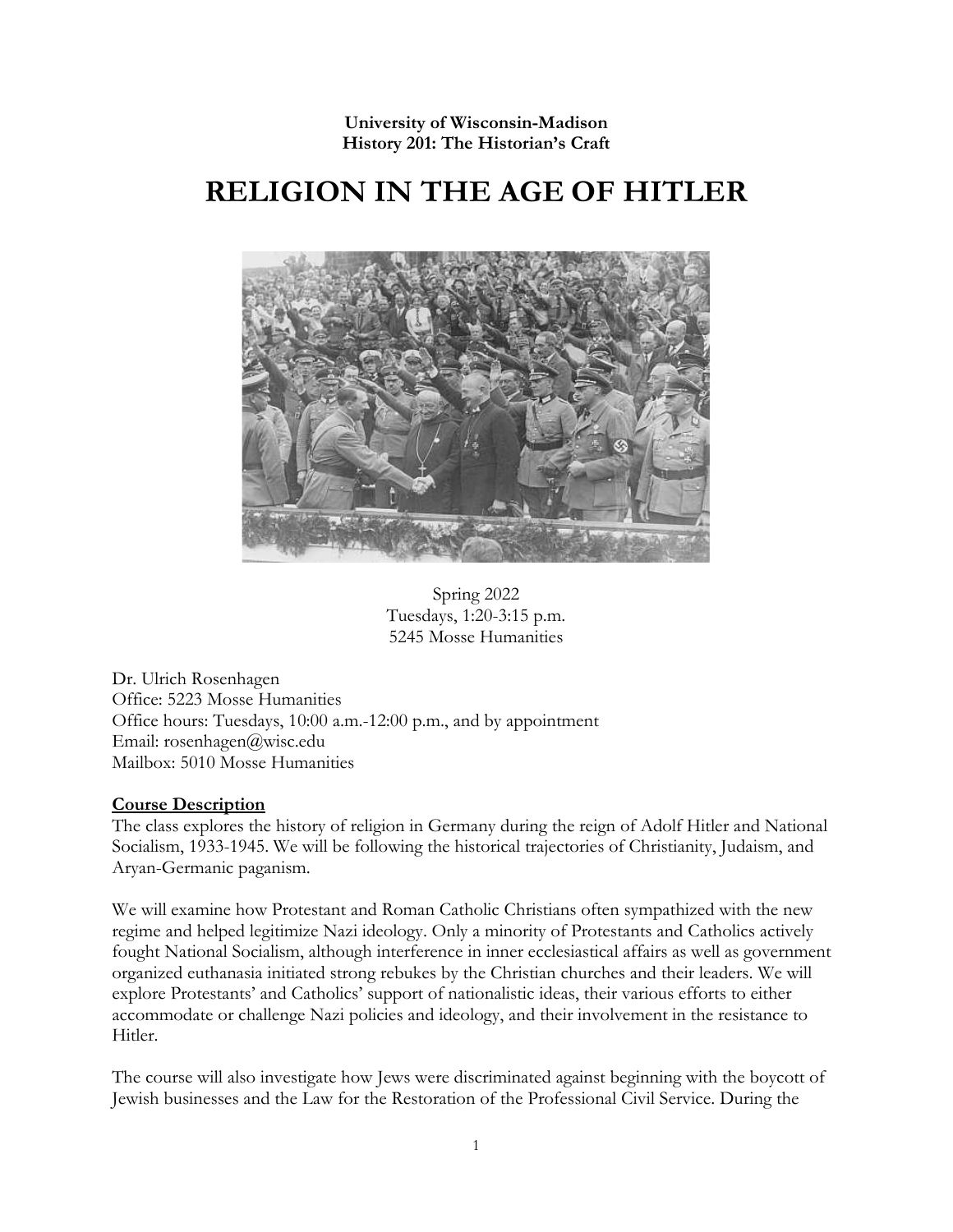**University of Wisconsin-Madison History 201: The Historian's Craft**

# **RELIGION IN THE AGE OF HITLER**



Spring 2022 Tuesdays, 1:20-3:15 p.m. 5245 Mosse Humanities

Dr. Ulrich Rosenhagen Office: 5223 Mosse Humanities Office hours: Tuesdays, 10:00 a.m.-12:00 p.m., and by appointment Email: rosenhagen@wisc.edu Mailbox: 5010 Mosse Humanities

#### **Course Description**

The class explores the history of religion in Germany during the reign of Adolf Hitler and National Socialism, 1933-1945. We will be following the historical trajectories of Christianity, Judaism, and Aryan-Germanic paganism.

We will examine how Protestant and Roman Catholic Christians often sympathized with the new regime and helped legitimize Nazi ideology. Only a minority of Protestants and Catholics actively fought National Socialism, although interference in inner ecclesiastical affairs as well as government organized euthanasia initiated strong rebukes by the Christian churches and their leaders. We will explore Protestants' and Catholics' support of nationalistic ideas, their various efforts to either accommodate or challenge Nazi policies and ideology, and their involvement in the resistance to Hitler.

The course will also investigate how Jews were discriminated against beginning with the boycott of Jewish businesses and the Law for the Restoration of the Professional Civil Service. During the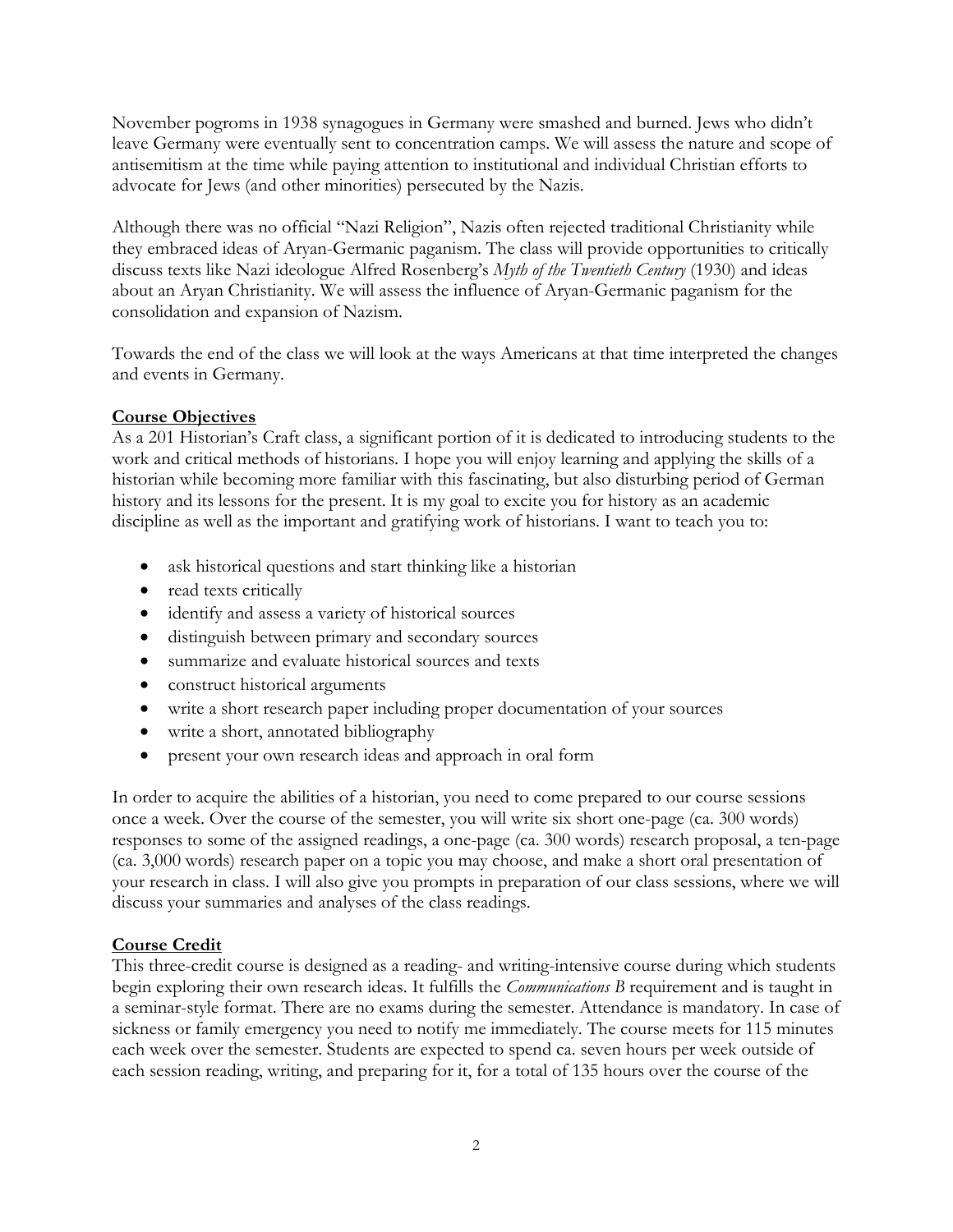November pogroms in 1938 synagogues in Germany were smashed and burned. Jews who didn't leave Germany were eventually sent to concentration camps. We will assess the nature and scope of antisemitism at the time while paying attention to institutional and individual Christian efforts to advocate for Jews (and other minorities) persecuted by the Nazis.

Although there was no official "Nazi Religion", Nazis often rejected traditional Christianity while they embraced ideas of Aryan-Germanic paganism. The class will provide opportunities to critically discuss texts like Nazi ideologue Alfred Rosenberg's *Myth of the Twentieth Century* (1930) and ideas about an Aryan Christianity. We will assess the influence of Aryan-Germanic paganism for the consolidation and expansion of Nazism.

Towards the end of the class we will look at the ways Americans at that time interpreted the changes and events in Germany.

## **Course Objectives**

As a 201 Historian's Craft class, a significant portion of it is dedicated to introducing students to the work and critical methods of historians. I hope you will enjoy learning and applying the skills of a historian while becoming more familiar with this fascinating, but also disturbing period of German history and its lessons for the present. It is my goal to excite you for history as an academic discipline as well as the important and gratifying work of historians. I want to teach you to:

- ask historical questions and start thinking like a historian
- read texts critically
- identify and assess a variety of historical sources
- distinguish between primary and secondary sources
- summarize and evaluate historical sources and texts
- construct historical arguments
- write a short research paper including proper documentation of your sources
- write a short, annotated bibliography
- present your own research ideas and approach in oral form

In order to acquire the abilities of a historian, you need to come prepared to our course sessions once a week. Over the course of the semester, you will write six short one-page (ca. 300 words) responses to some of the assigned readings, a one-page (ca. 300 words) research proposal, a ten-page (ca. 3,000 words) research paper on a topic you may choose, and make a short oral presentation of your research in class. I will also give you prompts in preparation of our class sessions, where we will discuss your summaries and analyses of the class readings.

# **Course Credit**

This three-credit course is designed as a reading- and writing-intensive course during which students begin exploring their own research ideas. It fulfills the *Communications B* requirement and is taught in a seminar-style format. There are no exams during the semester. Attendance is mandatory. In case of sickness or family emergency you need to notify me immediately. The course meets for 115 minutes each week over the semester. Students are expected to spend ca. seven hours per week outside of each session reading, writing, and preparing for it, for a total of 135 hours over the course of the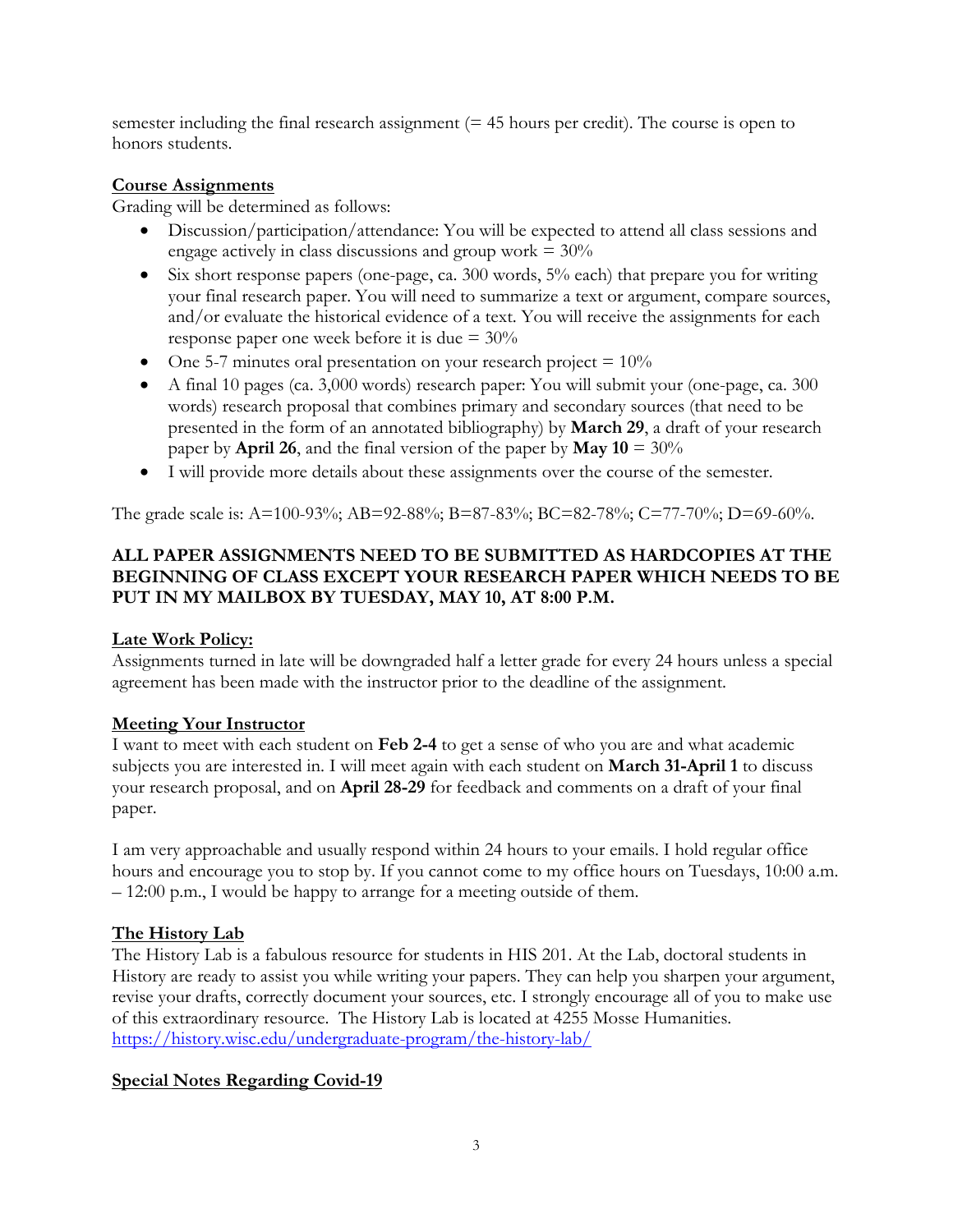semester including the final research assignment  $(= 45$  hours per credit). The course is open to honors students.

## **Course Assignments**

Grading will be determined as follows:

- Discussion/participation/attendance: You will be expected to attend all class sessions and engage actively in class discussions and group work  $= 30\%$
- Six short response papers (one-page, ca.  $300$  words,  $5\%$  each) that prepare you for writing your final research paper. You will need to summarize a text or argument, compare sources, and/or evaluate the historical evidence of a text. You will receive the assignments for each response paper one week before it is due = 30%
- One 5-7 minutes oral presentation on your research project  $= 10\%$
- A final 10 pages (ca. 3,000 words) research paper: You will submit your (one-page, ca. 300 words) research proposal that combines primary and secondary sources (that need to be presented in the form of an annotated bibliography) by **March 29**, a draft of your research paper by **April 26**, and the final version of the paper by **May 10** = 30%
- I will provide more details about these assignments over the course of the semester.

The grade scale is: A=100-93%; AB=92-88%; B=87-83%; BC=82-78%; C=77-70%; D=69-60%.

# **ALL PAPER ASSIGNMENTS NEED TO BE SUBMITTED AS HARDCOPIES AT THE BEGINNING OF CLASS EXCEPT YOUR RESEARCH PAPER WHICH NEEDS TO BE PUT IN MY MAILBOX BY TUESDAY, MAY 10, AT 8:00 P.M.**

# **Late Work Policy:**

Assignments turned in late will be downgraded half a letter grade for every 24 hours unless a special agreement has been made with the instructor prior to the deadline of the assignment.

# **Meeting Your Instructor**

I want to meet with each student on **Feb 2-4** to get a sense of who you are and what academic subjects you are interested in. I will meet again with each student on **March 31-April 1** to discuss your research proposal, and on **April 28-29** for feedback and comments on a draft of your final paper.

I am very approachable and usually respond within 24 hours to your emails. I hold regular office hours and encourage you to stop by. If you cannot come to my office hours on Tuesdays, 10:00 a.m. – 12:00 p.m., I would be happy to arrange for a meeting outside of them.

# **The History Lab**

The History Lab is a fabulous resource for students in HIS 201. At the Lab, doctoral students in History are ready to assist you while writing your papers. They can help you sharpen your argument, revise your drafts, correctly document your sources, etc. I strongly encourage all of you to make use of this extraordinary resource. The History Lab is located at 4255 Mosse Humanities. <https://history.wisc.edu/undergraduate-program/the-history-lab/>

# **Special Notes Regarding Covid-19**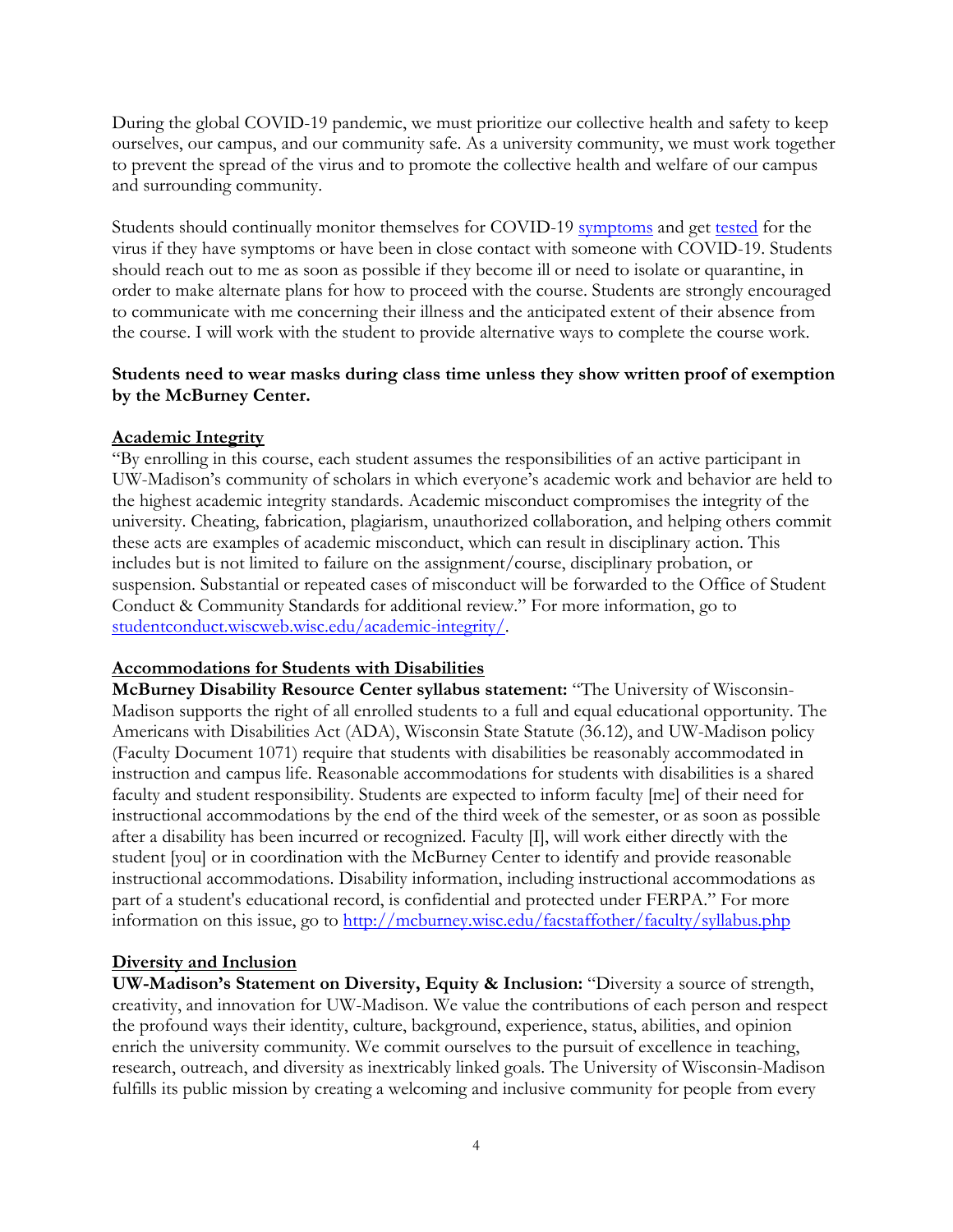During the global COVID-19 pandemic, we must prioritize our collective health and safety to keep ourselves, our campus, and our community safe. As a university community, we must work together to prevent the spread of the virus and to promote the collective health and welfare of our campus and surrounding community.

Students should continually monitor themselves for COVID-19 [symptoms](https://healthscreen.wisc.edu/) and get [tested](https://www.uhs.wisc.edu/medical/testing/) for the virus if they have symptoms or have been in close contact with someone with COVID-19. Students should reach out to me as soon as possible if they become ill or need to isolate or quarantine, in order to make alternate plans for how to proceed with the course. Students are strongly encouraged to communicate with me concerning their illness and the anticipated extent of their absence from the course. I will work with the student to provide alternative ways to complete the course work.

#### **Students need to wear masks during class time unless they show written proof of exemption by the McBurney Center.**

#### **Academic Integrity**

"By enrolling in this course, each student assumes the responsibilities of an active participant in UW-Madison's community of scholars in which everyone's academic work and behavior are held to the highest academic integrity standards. Academic misconduct compromises the integrity of the university. Cheating, fabrication, plagiarism, unauthorized collaboration, and helping others commit these acts are examples of academic misconduct, which can result in disciplinary action. This includes but is not limited to failure on the assignment/course, disciplinary probation, or suspension. Substantial or repeated cases of misconduct will be forwarded to the Office of Student Conduct & Community Standards for additional review." For more information, go to studentconduct.wiscweb.wisc.edu/academic-integrity/.

#### **Accommodations for Students with Disabilities**

**McBurney Disability Resource Center syllabus statement:** "The University of Wisconsin-Madison supports the right of all enrolled students to a full and equal educational opportunity. The Americans with Disabilities Act (ADA), Wisconsin State Statute (36.12), and UW-Madison policy (Faculty Document 1071) require that students with disabilities be reasonably accommodated in instruction and campus life. Reasonable accommodations for students with disabilities is a shared faculty and student responsibility. Students are expected to inform faculty [me] of their need for instructional accommodations by the end of the third week of the semester, or as soon as possible after a disability has been incurred or recognized. Faculty [I], will work either directly with the student [you] or in coordination with the McBurney Center to identify and provide reasonable instructional accommodations. Disability information, including instructional accommodations as part of a student's educational record, is confidential and protected under FERPA." For more information on this issue, go to<http://mcburney.wisc.edu/facstaffother/faculty/syllabus.php>

#### **Diversity and Inclusion**

**UW-Madison's Statement on Diversity, Equity & Inclusion:** "Diversity a source of strength, creativity, and innovation for UW-Madison. We value the contributions of each person and respect the profound ways their identity, culture, background, experience, status, abilities, and opinion enrich the university community. We commit ourselves to the pursuit of excellence in teaching, research, outreach, and diversity as inextricably linked goals. The University of Wisconsin-Madison fulfills its public mission by creating a welcoming and inclusive community for people from every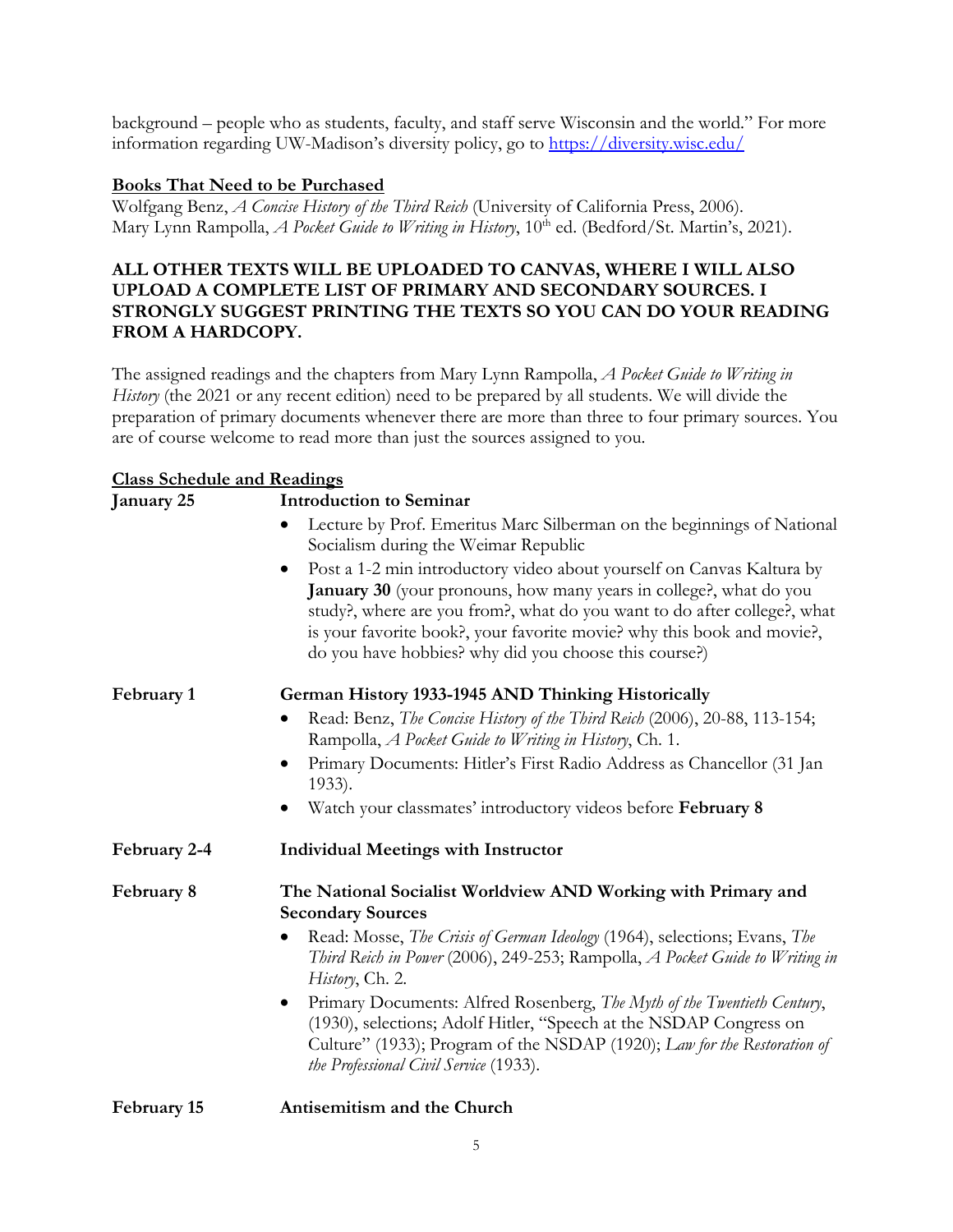background – people who as students, faculty, and staff serve Wisconsin and the world." For more information regarding UW-Madison's diversity policy, go to<https://diversity.wisc.edu/>

#### **Books That Need to be Purchased**

Wolfgang Benz, *A Concise History of the Third Reich* (University of California Press, 2006). Mary Lynn Rampolla, *A Pocket Guide to Writing in History*, 10<sup>th</sup> ed. (Bedford/St. Martin's, 2021).

## **ALL OTHER TEXTS WILL BE UPLOADED TO CANVAS, WHERE I WILL ALSO UPLOAD A COMPLETE LIST OF PRIMARY AND SECONDARY SOURCES. I STRONGLY SUGGEST PRINTING THE TEXTS SO YOU CAN DO YOUR READING FROM A HARDCOPY.**

The assigned readings and the chapters from Mary Lynn Rampolla, *A Pocket Guide to Writing in History* (the 2021 or any recent edition) need to be prepared by all students. We will divide the preparation of primary documents whenever there are more than three to four primary sources. You are of course welcome to read more than just the sources assigned to you.

#### **Class Schedule and Readings**

| January 25   | <b>Introduction to Seminar</b>                                                                                                                                                                                                                                                                                                                                                 |
|--------------|--------------------------------------------------------------------------------------------------------------------------------------------------------------------------------------------------------------------------------------------------------------------------------------------------------------------------------------------------------------------------------|
|              | Lecture by Prof. Emeritus Marc Silberman on the beginnings of National<br>Socialism during the Weimar Republic                                                                                                                                                                                                                                                                 |
|              | Post a 1-2 min introductory video about yourself on Canvas Kaltura by<br>$\bullet$<br><b>January 30</b> (your pronouns, how many years in college?, what do you<br>study?, where are you from?, what do you want to do after college?, what<br>is your favorite book?, your favorite movie? why this book and movie?,<br>do you have hobbies? why did you choose this course?) |
| February 1   | German History 1933-1945 AND Thinking Historically                                                                                                                                                                                                                                                                                                                             |
|              | Read: Benz, The Concise History of the Third Reich (2006), 20-88, 113-154;<br>Rampolla, A Pocket Guide to Writing in History, Ch. 1.                                                                                                                                                                                                                                           |
|              | Primary Documents: Hitler's First Radio Address as Chancellor (31 Jan<br>$\bullet$<br>$1933$ ).                                                                                                                                                                                                                                                                                |
|              | Watch your classmates' introductory videos before February 8                                                                                                                                                                                                                                                                                                                   |
| February 2-4 | <b>Individual Meetings with Instructor</b>                                                                                                                                                                                                                                                                                                                                     |
| February 8   | The National Socialist Worldview AND Working with Primary and<br><b>Secondary Sources</b>                                                                                                                                                                                                                                                                                      |
|              | Read: Mosse, <i>The Crisis of German Ideology</i> (1964), selections; Evans, <i>The</i><br>$\bullet$<br>Third Reich in Power (2006), 249-253; Rampolla, A Pocket Guide to Writing in<br>History, Ch. 2.                                                                                                                                                                        |
|              | Primary Documents: Alfred Rosenberg, The Myth of the Twentieth Century,<br>$\bullet$<br>(1930), selections; Adolf Hitler, "Speech at the NSDAP Congress on<br>Culture" (1933); Program of the NSDAP (1920); Law for the Restoration of<br>the Professional Civil Service (1933).                                                                                               |

#### **February 15 Antisemitism and the Church**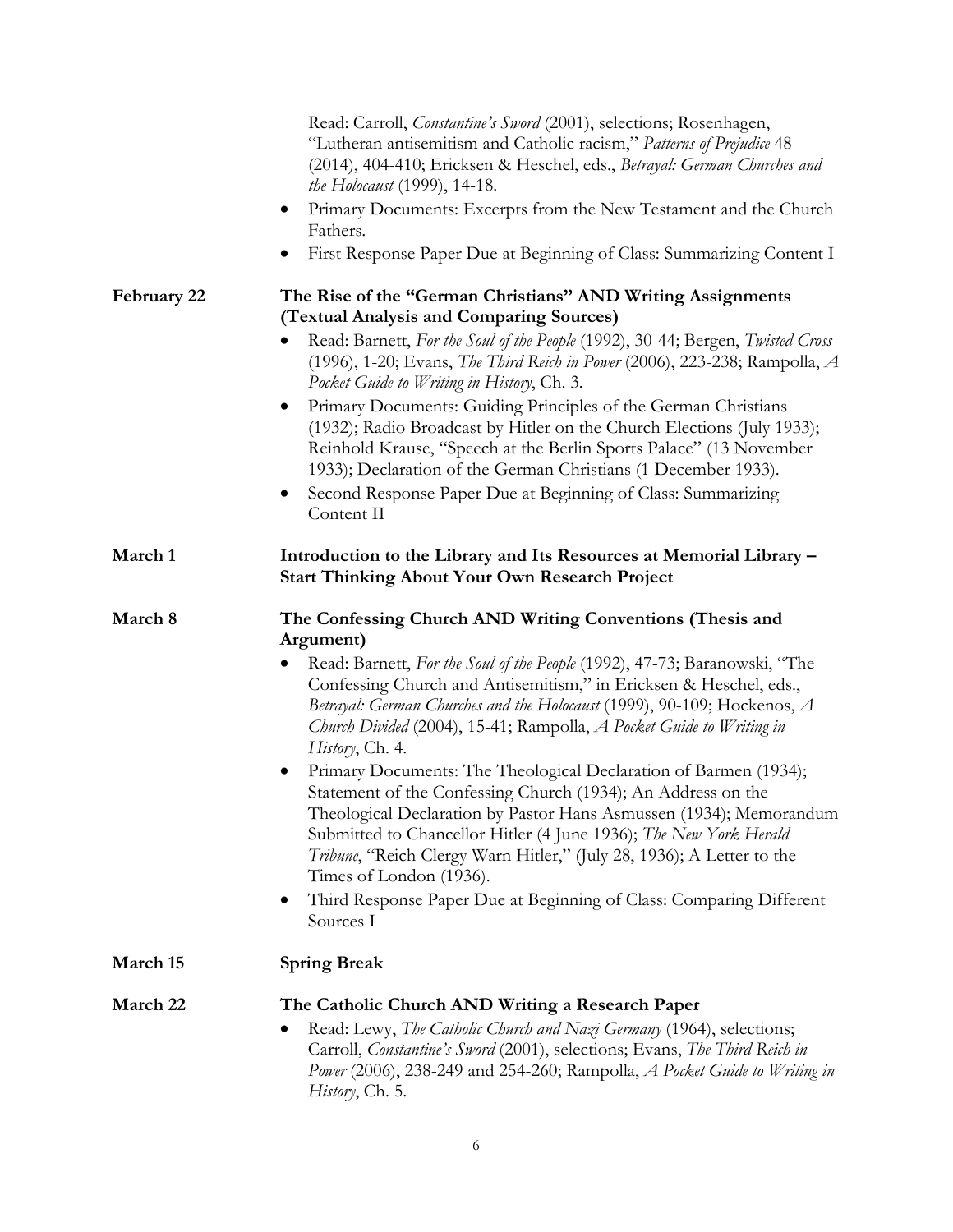|             | Read: Carroll, Constantine's Sword (2001), selections; Rosenhagen,<br>"Lutheran antisemitism and Catholic racism," Patterns of Prejudice 48<br>(2014), 404-410; Ericksen & Heschel, eds., Betrayal: German Churches and<br><i>the Holocaust</i> (1999), 14-18.<br>Primary Documents: Excerpts from the New Testament and the Church<br>$\bullet$<br>Fathers.<br>First Response Paper Due at Beginning of Class: Summarizing Content I                                                                                                                                                                                                                                                                                                                                                                                                                                      |
|-------------|----------------------------------------------------------------------------------------------------------------------------------------------------------------------------------------------------------------------------------------------------------------------------------------------------------------------------------------------------------------------------------------------------------------------------------------------------------------------------------------------------------------------------------------------------------------------------------------------------------------------------------------------------------------------------------------------------------------------------------------------------------------------------------------------------------------------------------------------------------------------------|
| February 22 | The Rise of the "German Christians" AND Writing Assignments<br>(Textual Analysis and Comparing Sources)<br>Read: Barnett, For the Soul of the People (1992), 30-44; Bergen, Twisted Cross<br>(1996), 1-20; Evans, The Third Reich in Power (2006), 223-238; Rampolla, A<br>Pocket Guide to Writing in History, Ch. 3.<br>Primary Documents: Guiding Principles of the German Christians<br>(1932); Radio Broadcast by Hitler on the Church Elections (July 1933);<br>Reinhold Krause, "Speech at the Berlin Sports Palace" (13 November<br>1933); Declaration of the German Christians (1 December 1933).<br>Second Response Paper Due at Beginning of Class: Summarizing<br>$\bullet$                                                                                                                                                                                     |
| March 1     | Content II<br>Introduction to the Library and Its Resources at Memorial Library -<br><b>Start Thinking About Your Own Research Project</b>                                                                                                                                                                                                                                                                                                                                                                                                                                                                                                                                                                                                                                                                                                                                 |
| March 8     | The Confessing Church AND Writing Conventions (Thesis and<br>Argument)<br>Read: Barnett, For the Soul of the People (1992), 47-73; Baranowski, "The<br>٠<br>Confessing Church and Antisemitism," in Ericksen & Heschel, eds.,<br>Betrayal: German Churches and the Holocaust (1999), 90-109; Hockenos, A<br>Church Divided (2004), 15-41; Rampolla, A Pocket Guide to Writing in<br>History, Ch. 4.<br>Primary Documents: The Theological Declaration of Barmen (1934);<br>Statement of the Confessing Church (1934); An Address on the<br>Theological Declaration by Pastor Hans Asmussen (1934); Memorandum<br>Submitted to Chancellor Hitler (4 June 1936); The New York Herald<br>Tribune, "Reich Clergy Warn Hitler," (July 28, 1936); A Letter to the<br>Times of London (1936).<br>Third Response Paper Due at Beginning of Class: Comparing Different<br>Sources I |
| March 15    | <b>Spring Break</b>                                                                                                                                                                                                                                                                                                                                                                                                                                                                                                                                                                                                                                                                                                                                                                                                                                                        |
| March 22    | The Catholic Church AND Writing a Research Paper<br>Read: Lewy, The Catholic Church and Nazi Germany (1964), selections;<br>Carroll, Constantine's Sword (2001), selections; Evans, The Third Reich in<br>Power (2006), 238-249 and 254-260; Rampolla, A Pocket Guide to Writing in<br>History, Ch. 5.                                                                                                                                                                                                                                                                                                                                                                                                                                                                                                                                                                     |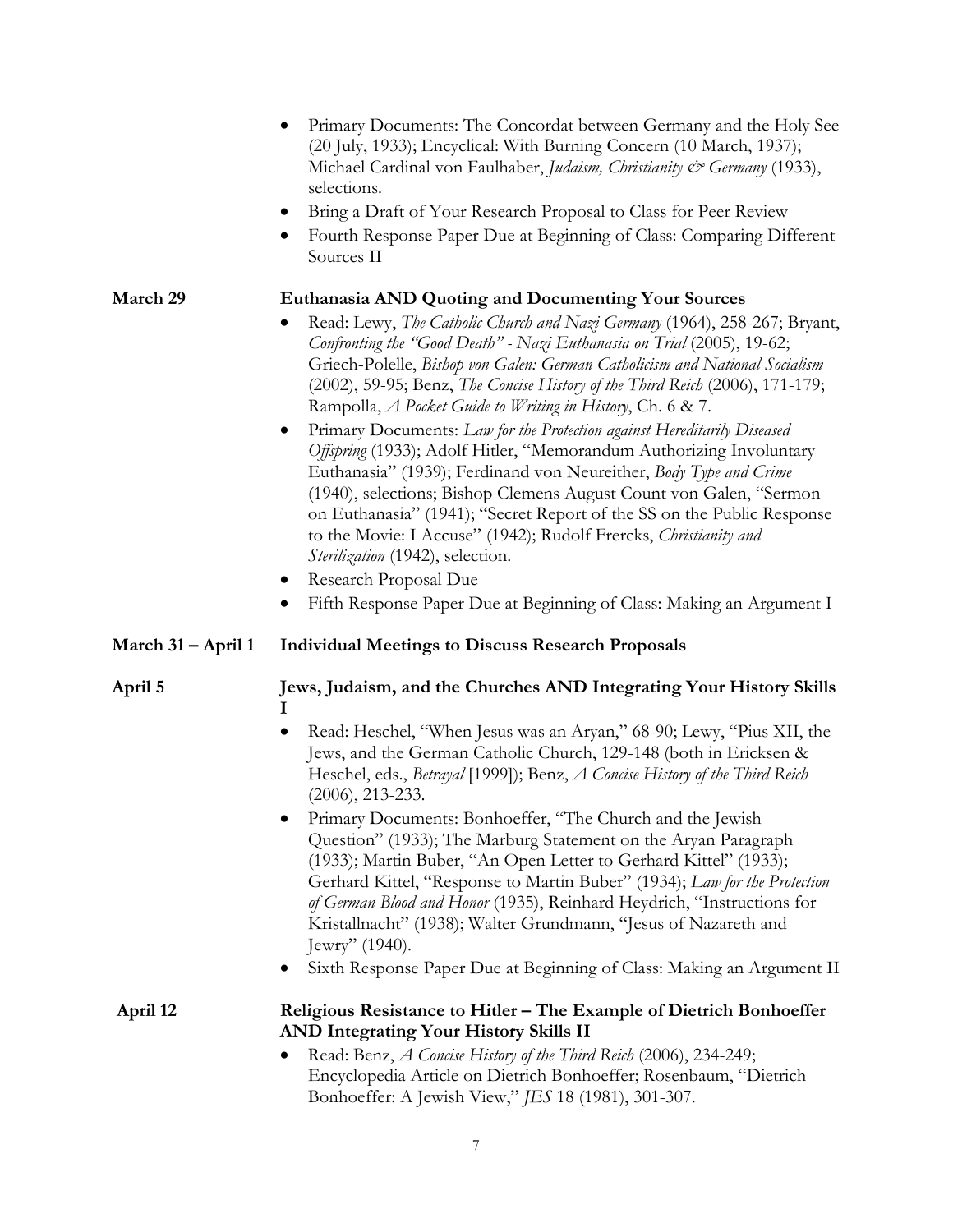|                    | Primary Documents: The Concordat between Germany and the Holy See<br>(20 July, 1933); Encyclical: With Burning Concern (10 March, 1937);<br>Michael Cardinal von Faulhaber, Judaism, Christianity & Germany (1933),<br>selections.<br>Bring a Draft of Your Research Proposal to Class for Peer Review<br>$\bullet$<br>Fourth Response Paper Due at Beginning of Class: Comparing Different<br>$\bullet$<br>Sources II                                                                                                                                                                                                                                                                                                                                                                                                                                                                                                                                                                                                                                           |
|--------------------|------------------------------------------------------------------------------------------------------------------------------------------------------------------------------------------------------------------------------------------------------------------------------------------------------------------------------------------------------------------------------------------------------------------------------------------------------------------------------------------------------------------------------------------------------------------------------------------------------------------------------------------------------------------------------------------------------------------------------------------------------------------------------------------------------------------------------------------------------------------------------------------------------------------------------------------------------------------------------------------------------------------------------------------------------------------|
| March 29           | <b>Euthanasia AND Quoting and Documenting Your Sources</b><br>Read: Lewy, The Catholic Church and Nazi Germany (1964), 258-267; Bryant,<br>Confronting the "Good Death" - Nazi Euthanasia on Trial (2005), 19-62;<br>Griech-Polelle, Bishop von Galen: German Catholicism and National Socialism<br>(2002), 59-95; Benz, The Concise History of the Third Reich (2006), 171-179;<br>Rampolla, <i>A Pocket Guide to Writing in History</i> , Ch. 6 & 7.<br>Primary Documents: Law for the Protection against Hereditarily Diseased<br>$\bullet$<br>Offspring (1933); Adolf Hitler, "Memorandum Authorizing Involuntary<br>Euthanasia" (1939); Ferdinand von Neureither, Body Type and Crime<br>(1940), selections; Bishop Clemens August Count von Galen, "Sermon<br>on Euthanasia" (1941); "Secret Report of the SS on the Public Response<br>to the Movie: I Accuse" (1942); Rudolf Frercks, Christianity and<br>Sterilization (1942), selection.<br>Research Proposal Due<br>$\bullet$<br>Fifth Response Paper Due at Beginning of Class: Making an Argument I |
| March 31 – April 1 | <b>Individual Meetings to Discuss Research Proposals</b>                                                                                                                                                                                                                                                                                                                                                                                                                                                                                                                                                                                                                                                                                                                                                                                                                                                                                                                                                                                                         |
| April 5            | Jews, Judaism, and the Churches AND Integrating Your History Skills<br>Read: Heschel, "When Jesus was an Aryan," 68-90; Lewy, "Pius XII, the<br>Jews, and the German Catholic Church, 129-148 (both in Ericksen &<br>Heschel, eds., Betrayal [1999]); Benz, A Concise History of the Third Reich<br>$(2006), 213-233.$<br>Primary Documents: Bonhoeffer, "The Church and the Jewish<br>Question" (1933); The Marburg Statement on the Aryan Paragraph<br>(1933); Martin Buber, "An Open Letter to Gerhard Kittel" (1933);<br>Gerhard Kittel, "Response to Martin Buber" (1934); Law for the Protection<br>of German Blood and Honor (1935), Reinhard Heydrich, "Instructions for<br>Kristallnacht" (1938); Walter Grundmann, "Jesus of Nazareth and<br>Jewry" $(1940)$ .<br>Sixth Response Paper Due at Beginning of Class: Making an Argument II                                                                                                                                                                                                                |
| April 12           | Religious Resistance to Hitler - The Example of Dietrich Bonhoeffer<br><b>AND Integrating Your History Skills II</b><br>Read: Benz, A Concise History of the Third Reich (2006), 234-249;<br>Encyclopedia Article on Dietrich Bonhoeffer; Rosenbaum, "Dietrich<br>Bonhoeffer: A Jewish View," JES 18 (1981), 301-307.                                                                                                                                                                                                                                                                                                                                                                                                                                                                                                                                                                                                                                                                                                                                            |